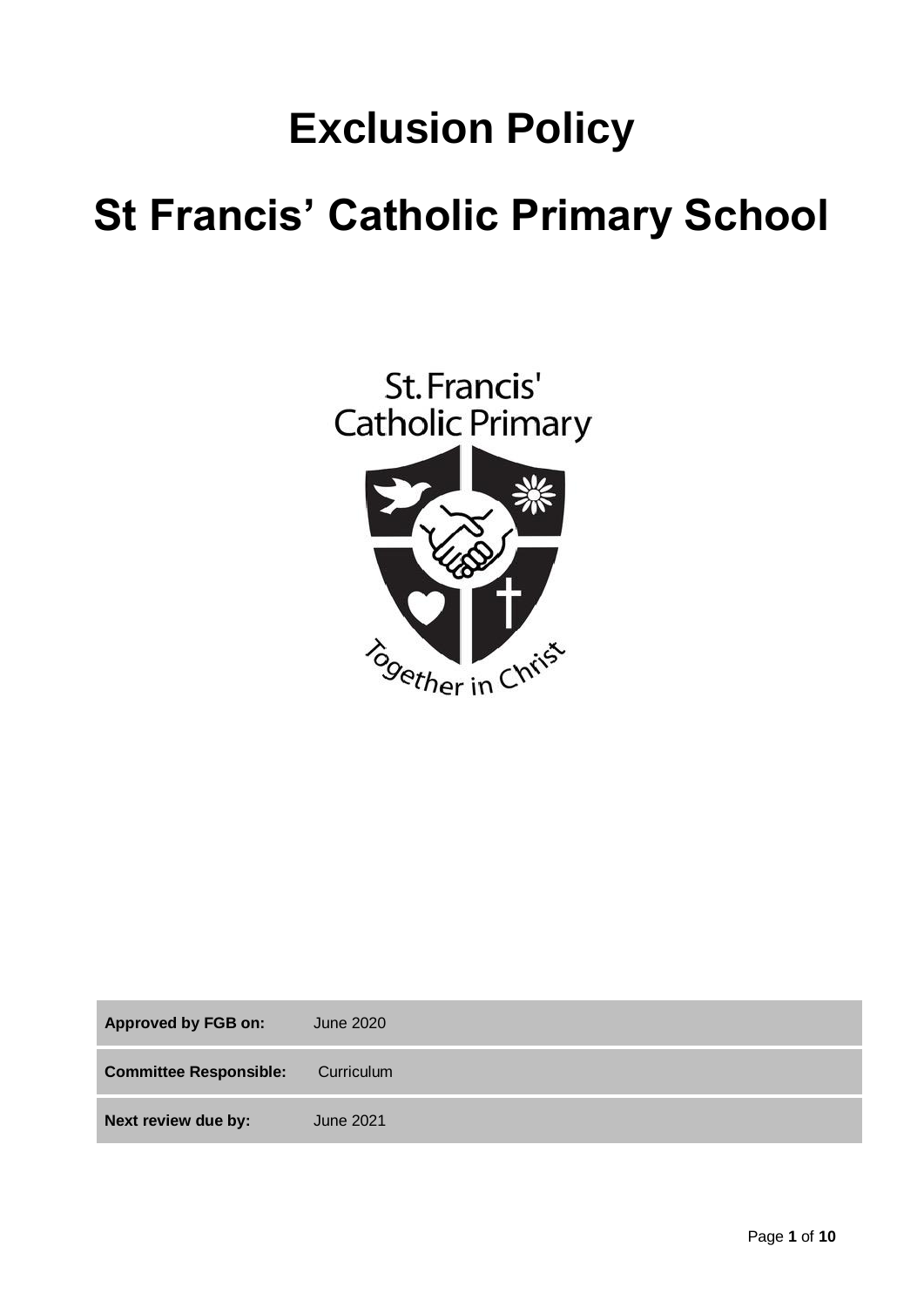# **Exclusion Policy**

# **St Francis' Catholic Primary School**



| <b>Approved by FGB on:</b>    | June 2020  |
|-------------------------------|------------|
| <b>Committee Responsible:</b> | Curriculum |
| Next review due by:           | June 2021  |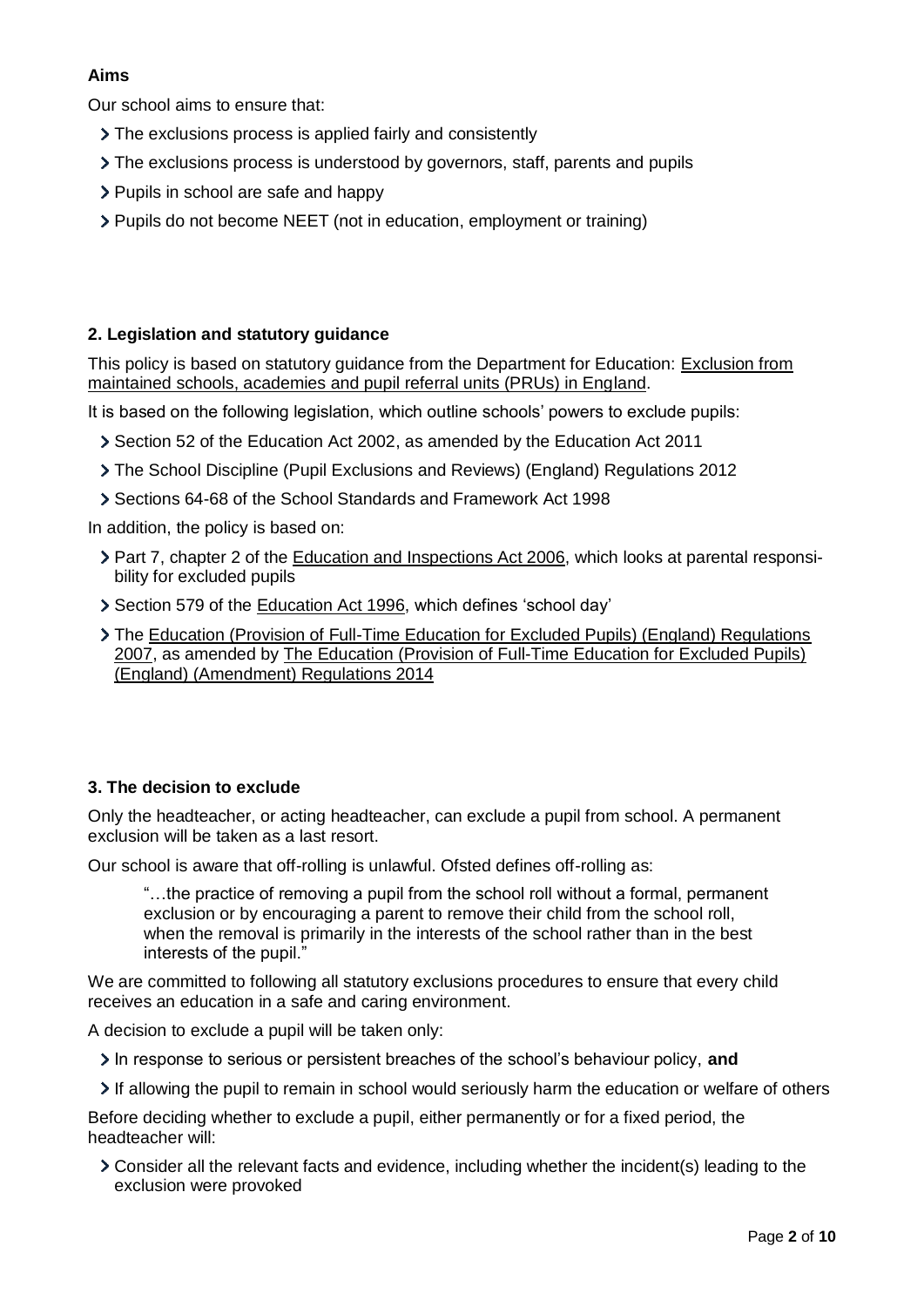# **Aims**

Our school aims to ensure that:

- The exclusions process is applied fairly and consistently
- $\geq$  The exclusions process is understood by governors, staff, parents and pupils
- > Pupils in school are safe and happy
- Pupils do not become NEET (not in education, employment or training)

# **2. Legislation and statutory guidance**

This policy is based on statutory guidance from the Department for Education: Exclusion from [maintained schools, academies and pupil referral units \(PRUs\) in England.](https://www.gov.uk/government/publications/school-exclusion)

It is based on the following legislation, which outline schools' powers to exclude pupils:

- Section 52 of the [Education Act 2002,](http://www.legislation.gov.uk/ukpga/2002/32/section/52) as amended by the [Education Act 2011](http://www.legislation.gov.uk/ukpga/2011/21/contents/enacted)
- [The School Discipline \(Pupil Exclusions and Reviews\) \(England\) Regulations 2012](http://www.legislation.gov.uk/uksi/2012/1033/made)
- Sections 64-68 of the [School Standards and Framework Act 1998](http://www.legislation.gov.uk/ukpga/1998/31)

In addition, the policy is based on:

- Part 7, chapter 2 of the [Education and Inspections Act 2006,](http://www.legislation.gov.uk/ukpga/2006/40/part/7/chapter/2) which looks at parental responsibility for excluded pupils
- Section 579 of the [Education Act 1996,](http://www.legislation.gov.uk/ukpga/1996/56/section/579) which defines 'school day'
- The [Education \(Provision of Full-Time Education for Excluded Pupils\) \(England\) Regulations](http://www.legislation.gov.uk/uksi/2007/1870/contents/made)  [2007,](http://www.legislation.gov.uk/uksi/2007/1870/contents/made) as amended by [The Education \(Provision of Full-Time Education for Excluded Pupils\)](http://www.legislation.gov.uk/uksi/2014/3216/contents/made)  [\(England\) \(Amendment\) Regulations 2014](http://www.legislation.gov.uk/uksi/2014/3216/contents/made)

## **3. The decision to exclude**

Only the headteacher, or acting headteacher, can exclude a pupil from school. A permanent exclusion will be taken as a last resort.

Our school is aware that off-rolling is unlawful. Ofsted defines off-rolling as:

"…the practice of removing a pupil from the school roll without a formal, permanent exclusion or by encouraging a parent to remove their child from the school roll, when the removal is primarily in the interests of the school rather than in the best interests of the pupil."

We are committed to following all statutory exclusions procedures to ensure that every child receives an education in a safe and caring environment.

A decision to exclude a pupil will be taken only:

In response to serious or persistent breaches of the school's behaviour policy, **and**

If allowing the pupil to remain in school would seriously harm the education or welfare of others

Before deciding whether to exclude a pupil, either permanently or for a fixed period, the headteacher will:

Consider all the relevant facts and evidence, including whether the incident(s) leading to the exclusion were provoked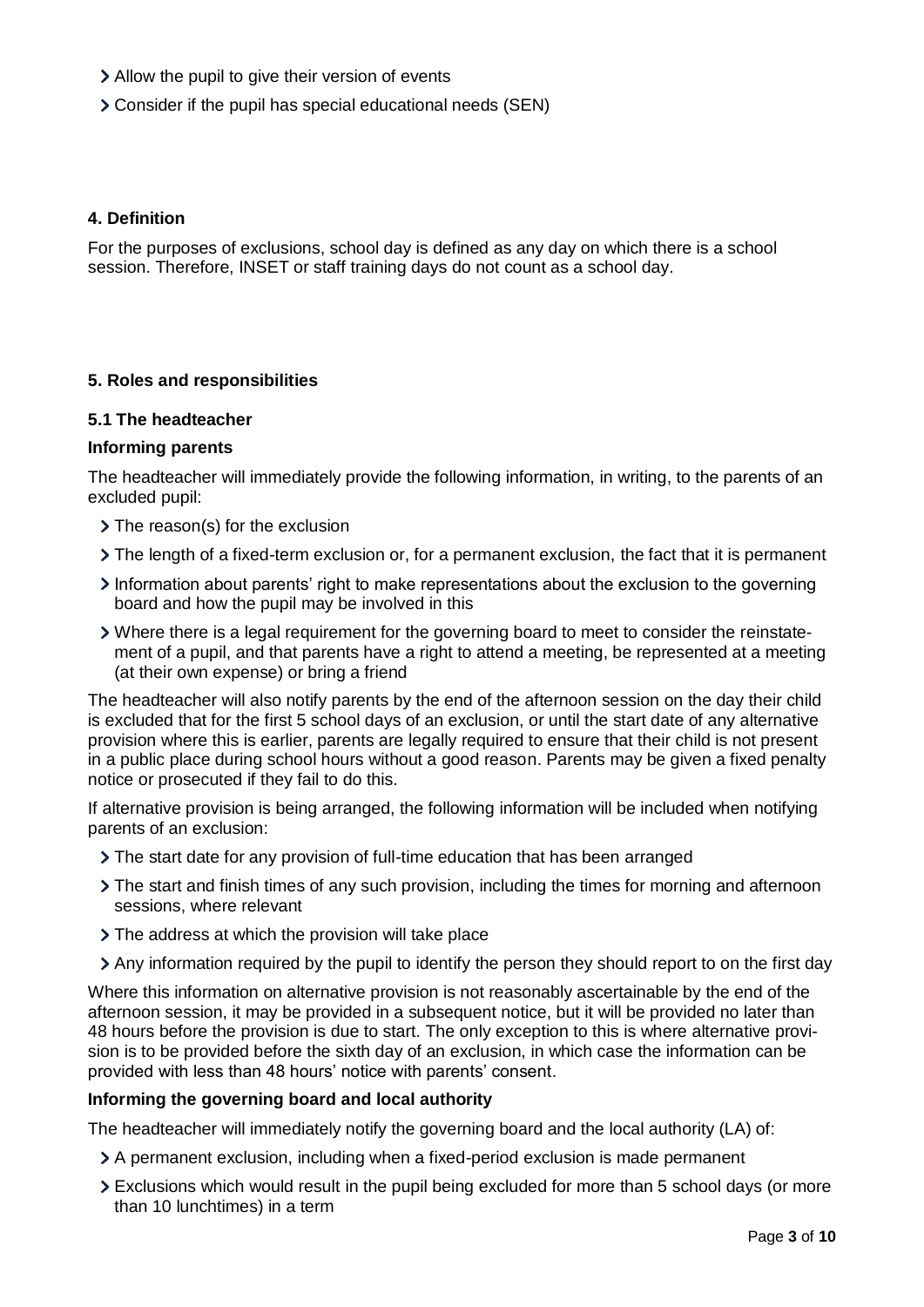- Allow the pupil to give their version of events
- Consider if the pupil has special educational needs (SEN)

### **4. Definition**

For the purposes of exclusions, school day is defined as any day on which there is a school session. Therefore, INSET or staff training days do not count as a school day.

### **5. Roles and responsibilities**

#### **5.1 The headteacher**

### **Informing parents**

The headteacher will immediately provide the following information, in writing, to the parents of an excluded pupil:

- > The reason(s) for the exclusion
- $\triangleright$  The length of a fixed-term exclusion or, for a permanent exclusion, the fact that it is permanent
- Information about parents' right to make representations about the exclusion to the governing board and how the pupil may be involved in this
- Where there is a legal requirement for the governing board to meet to consider the reinstatement of a pupil, and that parents have a right to attend a meeting, be represented at a meeting (at their own expense) or bring a friend

The headteacher will also notify parents by the end of the afternoon session on the day their child is excluded that for the first 5 school days of an exclusion, or until the start date of any alternative provision where this is earlier, parents are legally required to ensure that their child is not present in a public place during school hours without a good reason. Parents may be given a fixed penalty notice or prosecuted if they fail to do this.

If alternative provision is being arranged, the following information will be included when notifying parents of an exclusion:

- The start date for any provision of full-time education that has been arranged
- The start and finish times of any such provision, including the times for morning and afternoon sessions, where relevant
- > The address at which the provision will take place
- Any information required by the pupil to identify the person they should report to on the first day

Where this information on alternative provision is not reasonably ascertainable by the end of the afternoon session, it may be provided in a subsequent notice, but it will be provided no later than 48 hours before the provision is due to start. The only exception to this is where alternative provision is to be provided before the sixth day of an exclusion, in which case the information can be provided with less than 48 hours' notice with parents' consent.

#### **Informing the governing board and local authority**

The headteacher will immediately notify the governing board and the local authority (LA) of:

- A permanent exclusion, including when a fixed-period exclusion is made permanent
- Exclusions which would result in the pupil being excluded for more than 5 school days (or more than 10 lunchtimes) in a term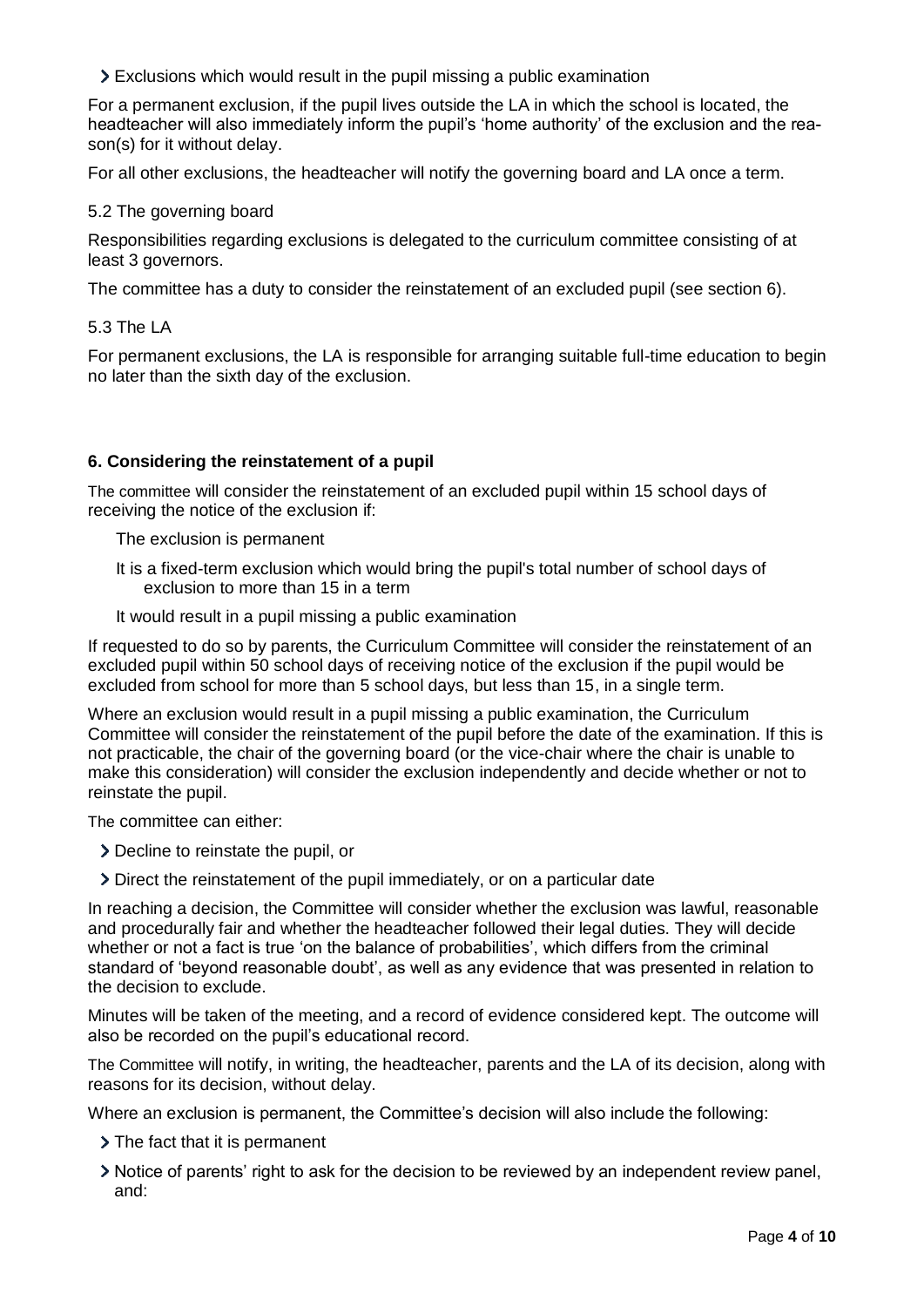Exclusions which would result in the pupil missing a public examination

For a permanent exclusion, if the pupil lives outside the LA in which the school is located, the headteacher will also immediately inform the pupil's 'home authority' of the exclusion and the reason(s) for it without delay.

For all other exclusions, the headteacher will notify the governing board and LA once a term.

## 5.2 The governing board

Responsibilities regarding exclusions is delegated to the curriculum committee consisting of at least 3 governors.

The committee has a duty to consider the reinstatement of an excluded pupil (see section 6).

### 5.3 The LA

For permanent exclusions, the LA is responsible for arranging suitable full-time education to begin no later than the sixth day of the exclusion.

## **6. Considering the reinstatement of a pupil**

The committee will consider the reinstatement of an excluded pupil within 15 school days of receiving the notice of the exclusion if:

The exclusion is permanent

- It is a fixed-term exclusion which would bring the pupil's total number of school days of exclusion to more than 15 in a term
- It would result in a pupil missing a public examination

If requested to do so by parents, the Curriculum Committee will consider the reinstatement of an excluded pupil within 50 school days of receiving notice of the exclusion if the pupil would be excluded from school for more than 5 school days, but less than 15, in a single term.

Where an exclusion would result in a pupil missing a public examination, the Curriculum Committee will consider the reinstatement of the pupil before the date of the examination. If this is not practicable, the chair of the governing board (or the vice-chair where the chair is unable to make this consideration) will consider the exclusion independently and decide whether or not to reinstate the pupil.

The committee can either:

- Decline to reinstate the pupil, or
- Direct the reinstatement of the pupil immediately, or on a particular date

In reaching a decision, the Committee will consider whether the exclusion was lawful, reasonable and procedurally fair and whether the headteacher followed their legal duties. They will decide whether or not a fact is true 'on the balance of probabilities', which differs from the criminal standard of 'beyond reasonable doubt', as well as any evidence that was presented in relation to the decision to exclude.

Minutes will be taken of the meeting, and a record of evidence considered kept. The outcome will also be recorded on the pupil's educational record.

The Committee will notify, in writing, the headteacher, parents and the LA of its decision, along with reasons for its decision, without delay.

Where an exclusion is permanent, the Committee's decision will also include the following:

- > The fact that it is permanent
- Notice of parents' right to ask for the decision to be reviewed by an independent review panel, and: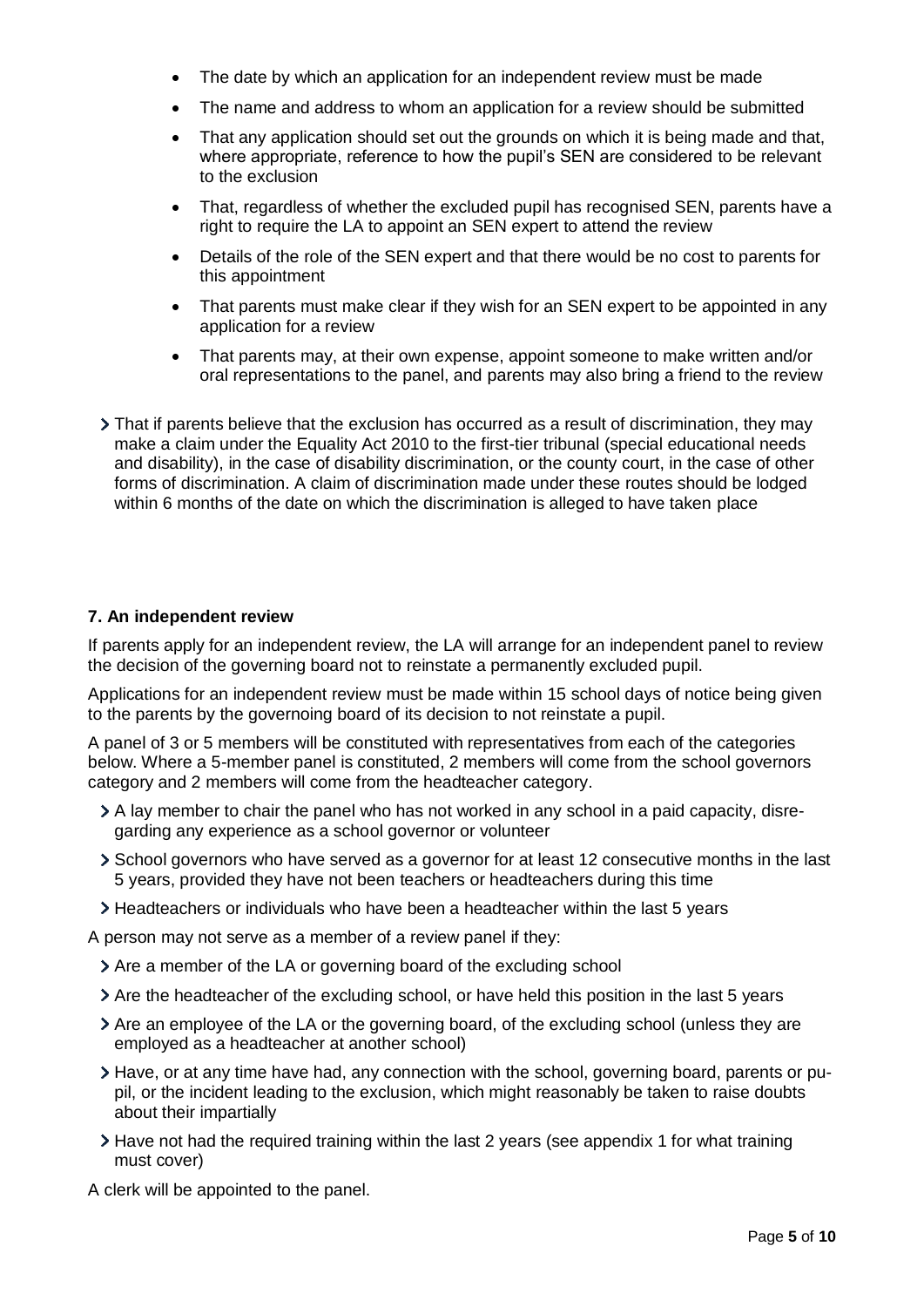- The date by which an application for an independent review must be made
- The name and address to whom an application for a review should be submitted
- That any application should set out the grounds on which it is being made and that, where appropriate, reference to how the pupil's SEN are considered to be relevant to the exclusion
- That, regardless of whether the excluded pupil has recognised SEN, parents have a right to require the LA to appoint an SEN expert to attend the review
- Details of the role of the SEN expert and that there would be no cost to parents for this appointment
- That parents must make clear if they wish for an SEN expert to be appointed in any application for a review
- That parents may, at their own expense, appoint someone to make written and/or oral representations to the panel, and parents may also bring a friend to the review
- That if parents believe that the exclusion has occurred as a result of discrimination, they may make a claim under the Equality Act 2010 to the first-tier tribunal (special educational needs and disability), in the case of disability discrimination, or the county court, in the case of other forms of discrimination. A claim of discrimination made under these routes should be lodged within 6 months of the date on which the discrimination is alleged to have taken place

## **7. An independent review**

If parents apply for an independent review, the LA will arrange for an independent panel to review the decision of the governing board not to reinstate a permanently excluded pupil.

Applications for an independent review must be made within 15 school days of notice being given to the parents by the governoing board of its decision to not reinstate a pupil.

A panel of 3 or 5 members will be constituted with representatives from each of the categories below. Where a 5-member panel is constituted, 2 members will come from the school governors category and 2 members will come from the headteacher category.

- A lay member to chair the panel who has not worked in any school in a paid capacity, disregarding any experience as a school governor or volunteer
- School governors who have served as a governor for at least 12 consecutive months in the last 5 years, provided they have not been teachers or headteachers during this time
- Headteachers or individuals who have been a headteacher within the last 5 years

A person may not serve as a member of a review panel if they:

- $\geq$  Are a member of the LA or governing board of the excluding school
- Are the headteacher of the excluding school, or have held this position in the last 5 years
- Are an employee of the LA or the governing board, of the excluding school (unless they are employed as a headteacher at another school)
- Have, or at any time have had, any connection with the school, governing board, parents or pupil, or the incident leading to the exclusion, which might reasonably be taken to raise doubts about their impartially
- $\geq$  Have not had the required training within the last 2 years (see appendix 1 for what training must cover)

A clerk will be appointed to the panel.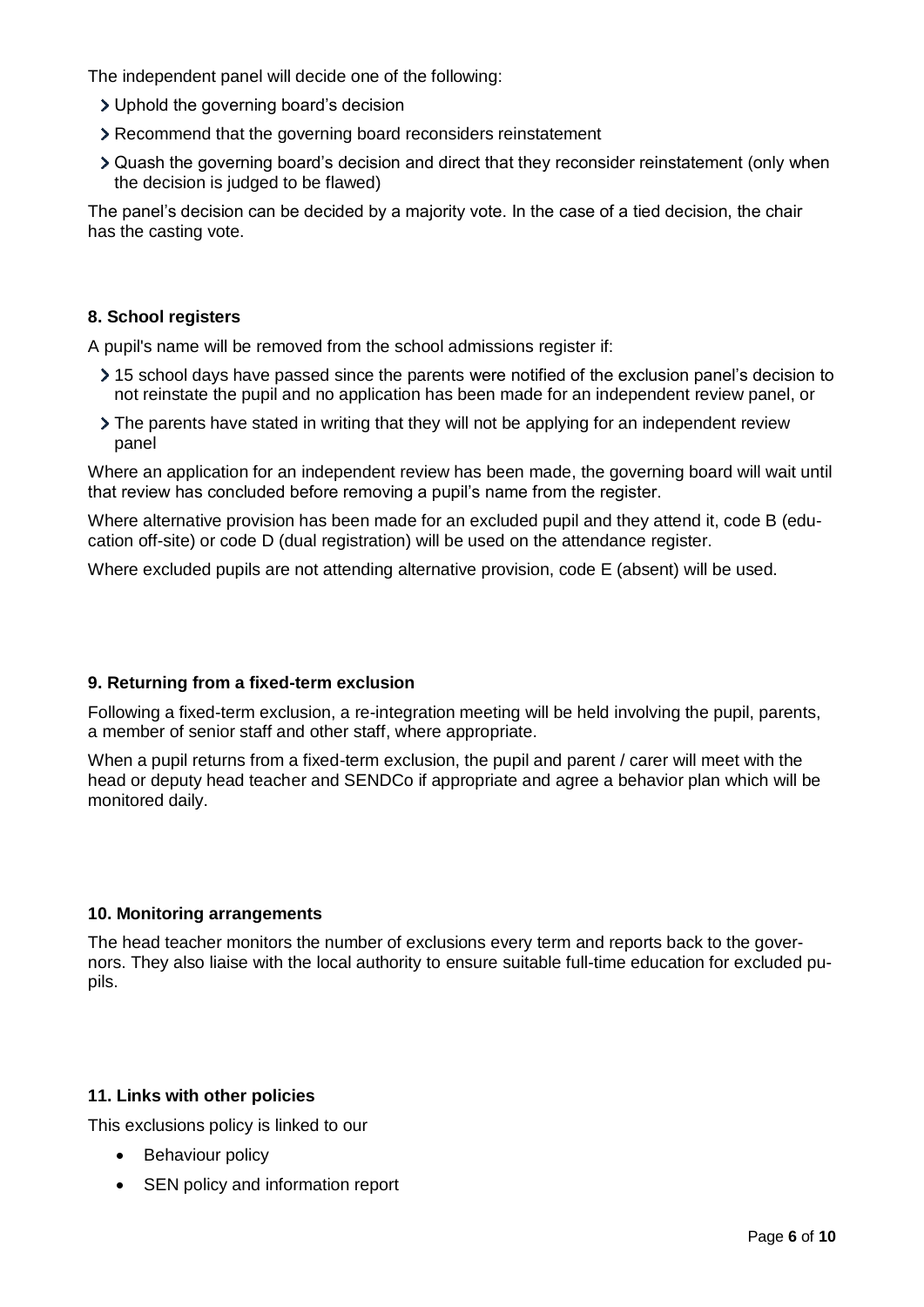The independent panel will decide one of the following:

- Uphold the governing board's decision
- Recommend that the governing board reconsiders reinstatement
- Quash the governing board's decision and direct that they reconsider reinstatement (only when the decision is judged to be flawed)

The panel's decision can be decided by a majority vote. In the case of a tied decision, the chair has the casting vote.

## **8. School registers**

A pupil's name will be removed from the school admissions register if:

- 15 school days have passed since the parents were notified of the exclusion panel's decision to not reinstate the pupil and no application has been made for an independent review panel, or
- The parents have stated in writing that they will not be applying for an independent review panel

Where an application for an independent review has been made, the governing board will wait until that review has concluded before removing a pupil's name from the register.

Where alternative provision has been made for an excluded pupil and they attend it, code B (education off-site) or code D (dual registration) will be used on the attendance register.

Where excluded pupils are not attending alternative provision, code E (absent) will be used.

#### **9. Returning from a fixed-term exclusion**

Following a fixed-term exclusion, a re-integration meeting will be held involving the pupil, parents, a member of senior staff and other staff, where appropriate.

When a pupil returns from a fixed-term exclusion, the pupil and parent / carer will meet with the head or deputy head teacher and SENDCo if appropriate and agree a behavior plan which will be monitored daily.

#### **10. Monitoring arrangements**

The head teacher monitors the number of exclusions every term and reports back to the governors. They also liaise with the local authority to ensure suitable full-time education for excluded pupils.

#### **11. Links with other policies**

This exclusions policy is linked to our

- Behaviour policy
- SEN policy and information report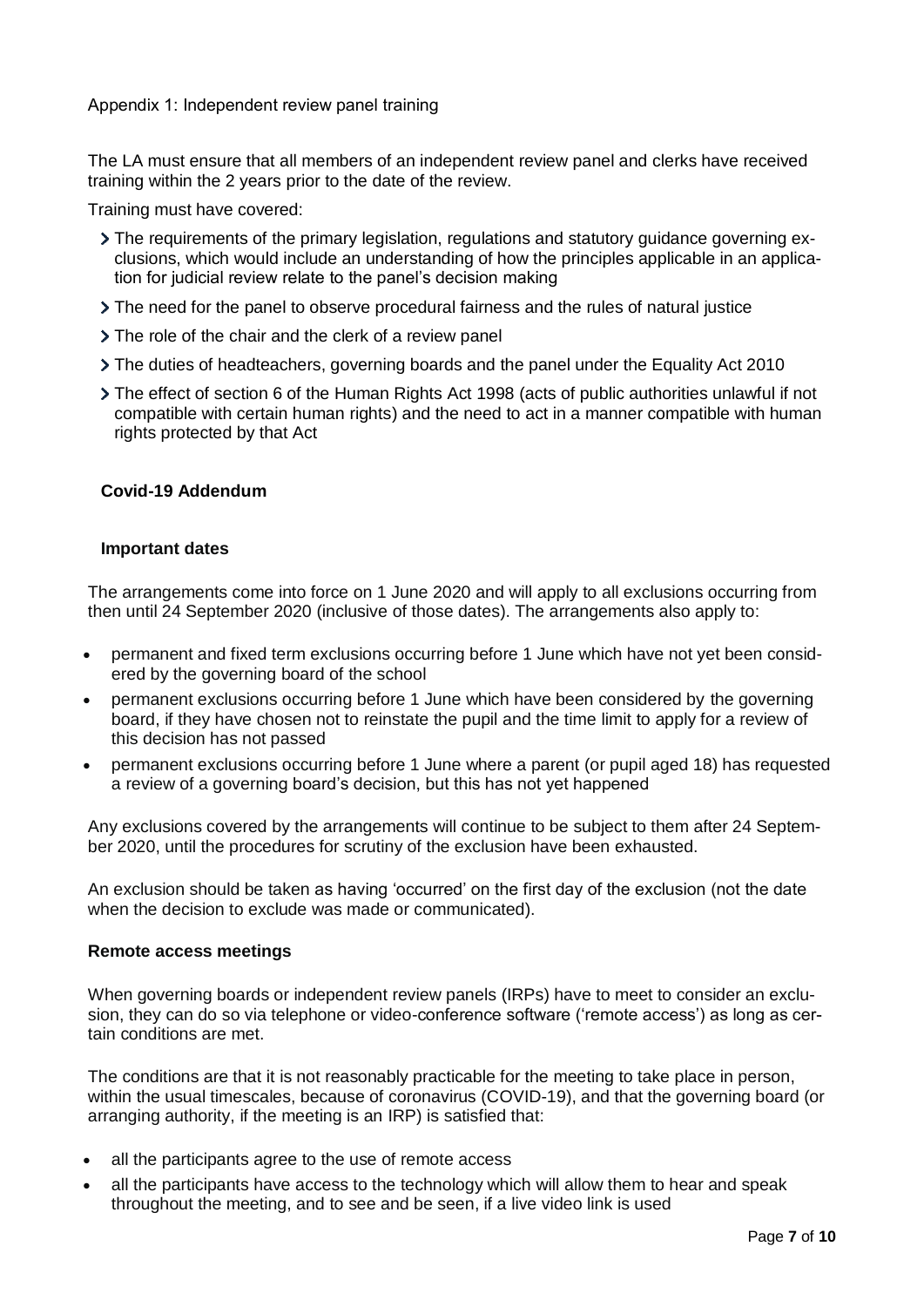The LA must ensure that all members of an independent review panel and clerks have received training within the 2 years prior to the date of the review.

Training must have covered:

- The requirements of the primary legislation, regulations and statutory guidance governing exclusions, which would include an understanding of how the principles applicable in an application for judicial review relate to the panel's decision making
- The need for the panel to observe procedural fairness and the rules of natural justice
- > The role of the chair and the clerk of a review panel
- The duties of headteachers, governing boards and the panel under the Equality Act 2010
- The effect of section 6 of the Human Rights Act 1998 (acts of public authorities unlawful if not compatible with certain human rights) and the need to act in a manner compatible with human rights protected by that Act

## **Covid-19 Addendum**

#### **Important dates**

The arrangements come into force on 1 June 2020 and will apply to all exclusions occurring from then until 24 September 2020 (inclusive of those dates). The arrangements also apply to:

- permanent and fixed term exclusions occurring before 1 June which have not yet been considered by the governing board of the school
- permanent exclusions occurring before 1 June which have been considered by the governing board, if they have chosen not to reinstate the pupil and the time limit to apply for a review of this decision has not passed
- permanent exclusions occurring before 1 June where a parent (or pupil aged 18) has requested a review of a governing board's decision, but this has not yet happened

Any exclusions covered by the arrangements will continue to be subject to them after 24 September 2020, until the procedures for scrutiny of the exclusion have been exhausted.

An exclusion should be taken as having 'occurred' on the first day of the exclusion (not the date when the decision to exclude was made or communicated).

#### **Remote access meetings**

When governing boards or independent review panels (IRPs) have to meet to consider an exclusion, they can do so via telephone or video-conference software ('remote access') as long as certain conditions are met.

The conditions are that it is not reasonably practicable for the meeting to take place in person, within the usual timescales, because of coronavirus (COVID-19), and that the governing board (or arranging authority, if the meeting is an IRP) is satisfied that:

- all the participants agree to the use of remote access
- all the participants have access to the technology which will allow them to hear and speak throughout the meeting, and to see and be seen, if a live video link is used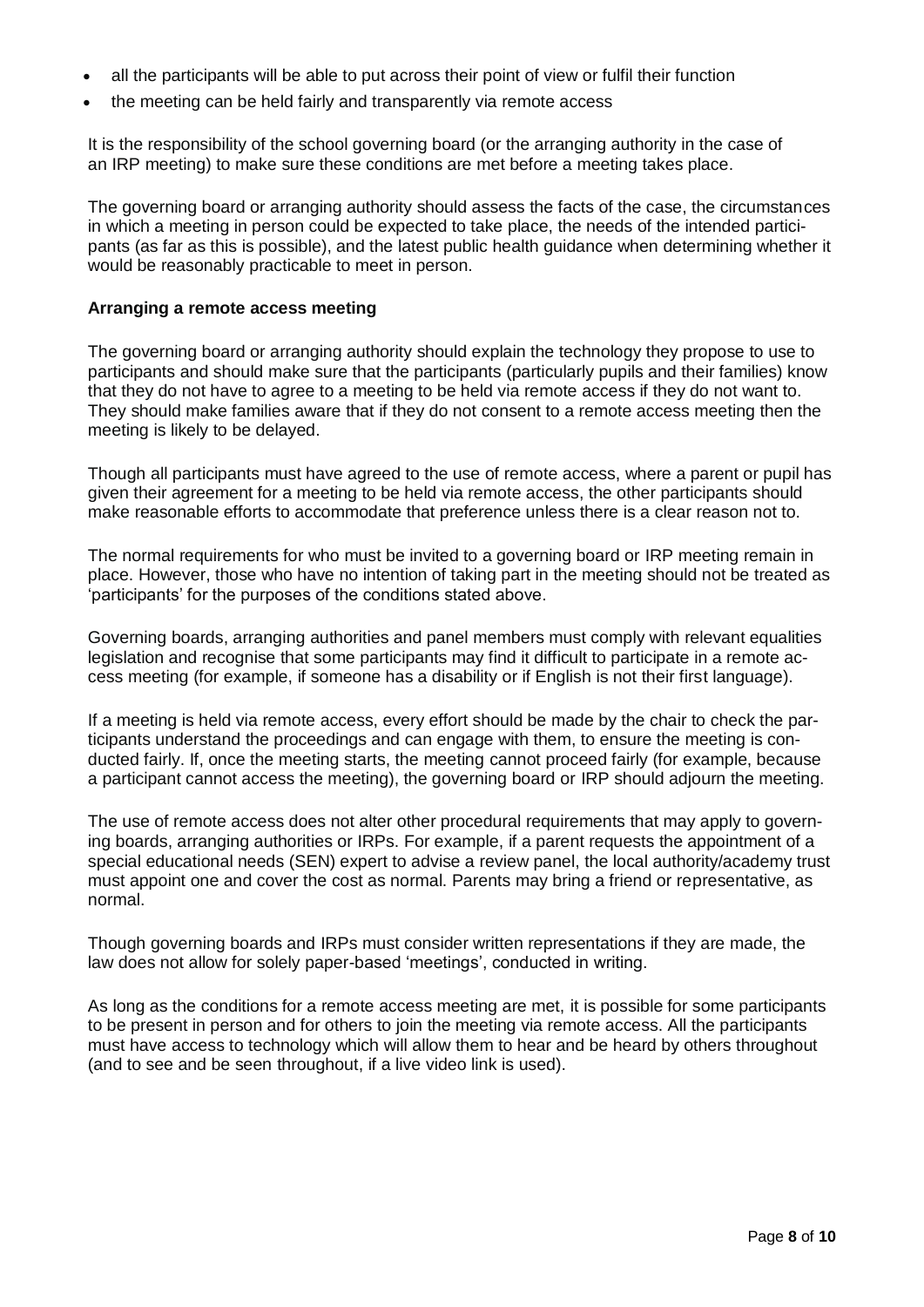- all the participants will be able to put across their point of view or fulfil their function
- the meeting can be held fairly and transparently via remote access

It is the responsibility of the school governing board (or the arranging authority in the case of an IRP meeting) to make sure these conditions are met before a meeting takes place.

The governing board or arranging authority should assess the facts of the case, the circumstances in which a meeting in person could be expected to take place, the needs of the intended participants (as far as this is possible), and the latest public health guidance when determining whether it would be reasonably practicable to meet in person.

#### **Arranging a remote access meeting**

The governing board or arranging authority should explain the technology they propose to use to participants and should make sure that the participants (particularly pupils and their families) know that they do not have to agree to a meeting to be held via remote access if they do not want to. They should make families aware that if they do not consent to a remote access meeting then the meeting is likely to be delayed.

Though all participants must have agreed to the use of remote access, where a parent or pupil has given their agreement for a meeting to be held via remote access, the other participants should make reasonable efforts to accommodate that preference unless there is a clear reason not to.

The normal requirements for who must be invited to a governing board or IRP meeting remain in place. However, those who have no intention of taking part in the meeting should not be treated as 'participants' for the purposes of the conditions stated above.

Governing boards, arranging authorities and panel members must comply with relevant equalities legislation and recognise that some participants may find it difficult to participate in a remote access meeting (for example, if someone has a disability or if English is not their first language).

If a meeting is held via remote access, every effort should be made by the chair to check the participants understand the proceedings and can engage with them, to ensure the meeting is conducted fairly. If, once the meeting starts, the meeting cannot proceed fairly (for example, because a participant cannot access the meeting), the governing board or IRP should adjourn the meeting.

The use of remote access does not alter other procedural requirements that may apply to governing boards, arranging authorities or IRPs. For example, if a parent requests the appointment of a special educational needs (SEN) expert to advise a review panel, the local authority/academy trust must appoint one and cover the cost as normal. Parents may bring a friend or representative, as normal.

Though governing boards and IRPs must consider written representations if they are made, the law does not allow for solely paper-based 'meetings', conducted in writing.

As long as the conditions for a remote access meeting are met, it is possible for some participants to be present in person and for others to join the meeting via remote access. All the participants must have access to technology which will allow them to hear and be heard by others throughout (and to see and be seen throughout, if a live video link is used).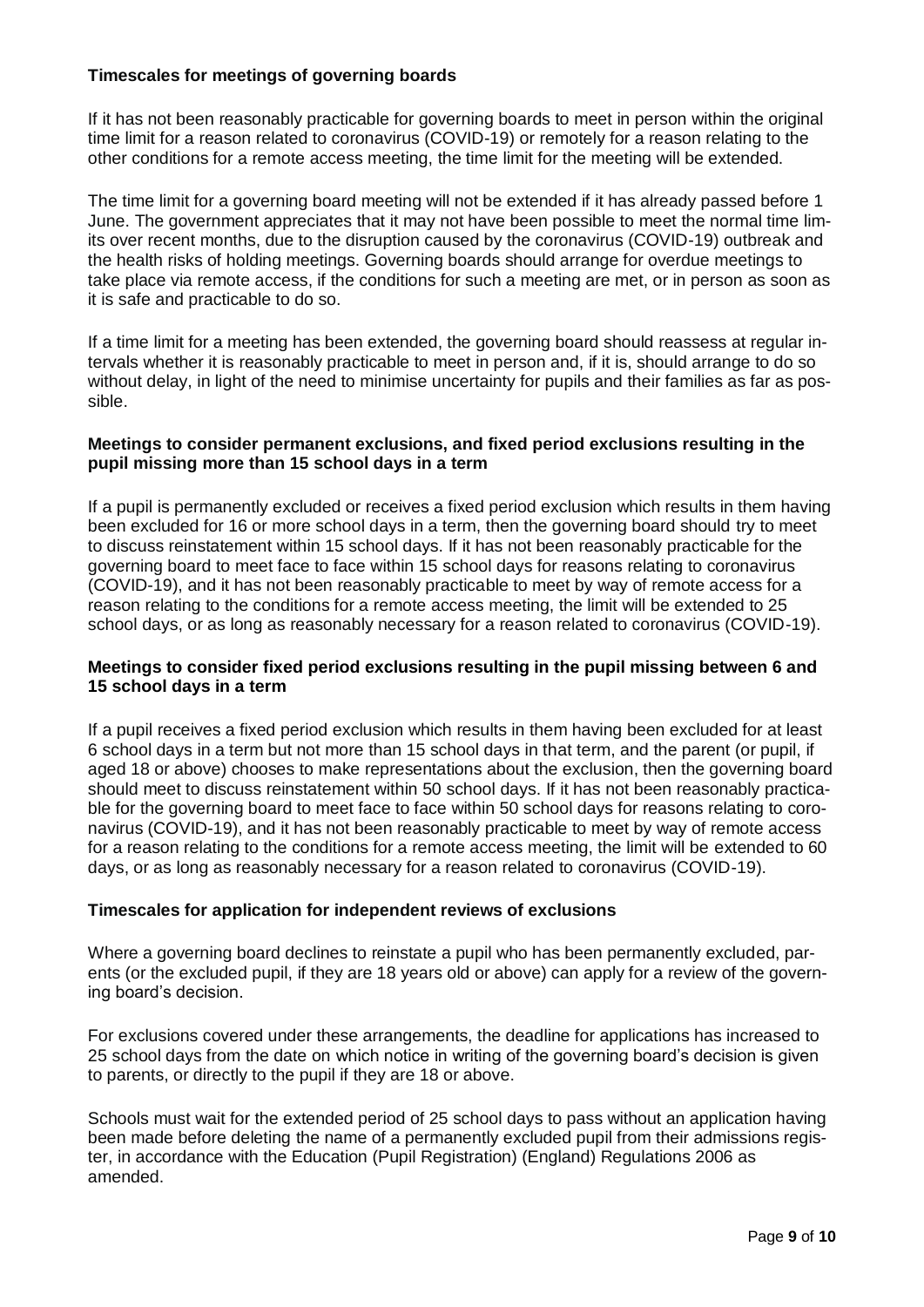## **Timescales for meetings of governing boards**

If it has not been reasonably practicable for governing boards to meet in person within the original time limit for a reason related to coronavirus (COVID-19) or remotely for a reason relating to the other conditions for a remote access meeting, the time limit for the meeting will be extended.

The time limit for a governing board meeting will not be extended if it has already passed before 1 June. The government appreciates that it may not have been possible to meet the normal time limits over recent months, due to the disruption caused by the coronavirus (COVID-19) outbreak and the health risks of holding meetings. Governing boards should arrange for overdue meetings to take place via remote access, if the conditions for such a meeting are met, or in person as soon as it is safe and practicable to do so.

If a time limit for a meeting has been extended, the governing board should reassess at regular intervals whether it is reasonably practicable to meet in person and, if it is, should arrange to do so without delay, in light of the need to minimise uncertainty for pupils and their families as far as possible.

### **Meetings to consider permanent exclusions, and fixed period exclusions resulting in the pupil missing more than 15 school days in a term**

If a pupil is permanently excluded or receives a fixed period exclusion which results in them having been excluded for 16 or more school days in a term, then the governing board should try to meet to discuss reinstatement within 15 school days. If it has not been reasonably practicable for the governing board to meet face to face within 15 school days for reasons relating to coronavirus (COVID-19), and it has not been reasonably practicable to meet by way of remote access for a reason relating to the conditions for a remote access meeting, the limit will be extended to 25 school days, or as long as reasonably necessary for a reason related to coronavirus (COVID-19).

## **Meetings to consider fixed period exclusions resulting in the pupil missing between 6 and 15 school days in a term**

If a pupil receives a fixed period exclusion which results in them having been excluded for at least 6 school days in a term but not more than 15 school days in that term, and the parent (or pupil, if aged 18 or above) chooses to make representations about the exclusion, then the governing board should meet to discuss reinstatement within 50 school days. If it has not been reasonably practicable for the governing board to meet face to face within 50 school days for reasons relating to coronavirus (COVID-19), and it has not been reasonably practicable to meet by way of remote access for a reason relating to the conditions for a remote access meeting, the limit will be extended to 60 days, or as long as reasonably necessary for a reason related to coronavirus (COVID-19).

#### **Timescales for application for independent reviews of exclusions**

Where a governing board declines to reinstate a pupil who has been permanently excluded, parents (or the excluded pupil, if they are 18 years old or above) can apply for a review of the governing board's decision.

For exclusions covered under these arrangements, the deadline for applications has increased to 25 school days from the date on which notice in writing of the governing board's decision is given to parents, or directly to the pupil if they are 18 or above.

Schools must wait for the extended period of 25 school days to pass without an application having been made before deleting the name of a permanently excluded pupil from their admissions register, in accordance with the Education (Pupil Registration) (England) Regulations 2006 as amended.